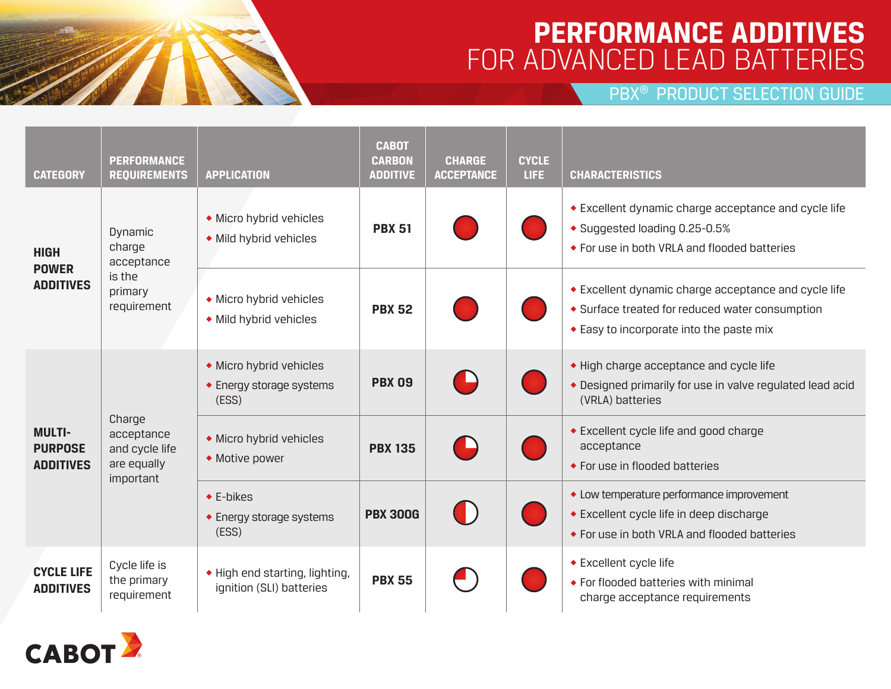# **PERFORMANCE ADDITIVES**  FOR ADVANCED LEAD BATTERIES

PBX® PRODUCT SELECTION GUIDE

| <b>CATEGORY</b>                                     | <b>PERFORMANCE</b><br><b>REQUIREMENTS</b>                           | <b>APPLICATION</b>                                           | <b>CABOT</b><br><b>CARBON</b><br><b>ADDITIVE</b> | <b>CHARGE</b><br><b>ACCEPTANCE</b> | <b>CYCLE</b><br>LIFE: | <b>CHARACTERISTICS</b>                                                                                                                              |
|-----------------------------------------------------|---------------------------------------------------------------------|--------------------------------------------------------------|--------------------------------------------------|------------------------------------|-----------------------|-----------------------------------------------------------------------------------------------------------------------------------------------------|
| <b>HIGH</b><br><b>POWER</b><br><b>ADDITIVES</b>     | Dynamic<br>charge<br>acceptance<br>is the<br>primary<br>requirement | • Micro hybrid vehicles<br>• Mild hybrid vehicles            | <b>PBX 51</b>                                    |                                    |                       | ◆ Excellent dynamic charge acceptance and cycle life<br>◆ Suggested loading 0.25-0.5%<br>◆ For use in both VRLA and flooded batteries               |
|                                                     |                                                                     | • Micro hybrid vehicles<br>• Mild hybrid vehicles            | <b>PBX 52</b>                                    |                                    |                       | ◆ Excellent dynamic charge acceptance and cycle life<br>• Surface treated for reduced water consumption<br>◆ Easy to incorporate into the paste mix |
| <b>MULTI-</b><br><b>PURPOSE</b><br><b>ADDITIVES</b> | Charge<br>acceptance<br>and cycle life<br>are equally<br>important  | • Micro hybrid vehicles<br>◆ Energy storage systems<br>(ESS) | <b>PBX 09</b>                                    |                                    |                       | • High charge acceptance and cycle life<br>• Designed primarily for use in valve regulated lead acid<br>(VRLA) batteries                            |
|                                                     |                                                                     | • Micro hybrid vehicles<br>• Motive power                    | <b>PBX 135</b>                                   |                                    |                       | ◆ Excellent cycle life and good charge<br>acceptance<br>◆ For use in flooded batteries                                                              |
|                                                     |                                                                     | $\triangle$ E-bikes<br>◆ Energy storage systems<br>(ESS)     | <b>PBX 300G</b>                                  |                                    |                       | • Low temperature performance improvement<br>◆ Excellent cycle life in deep discharge<br>◆ For use in both VRLA and flooded batteries               |
| <b>CYCLE LIFE</b><br><b>ADDITIVES</b>               | Cycle life is<br>the primary<br>requirement                         | • High end starting, lighting,<br>ignition (SLI) batteries   | <b>PBX 55</b>                                    |                                    |                       | ◆ Excellent cycle life<br>◆ For flooded batteries with minimal<br>charge acceptance requirements                                                    |